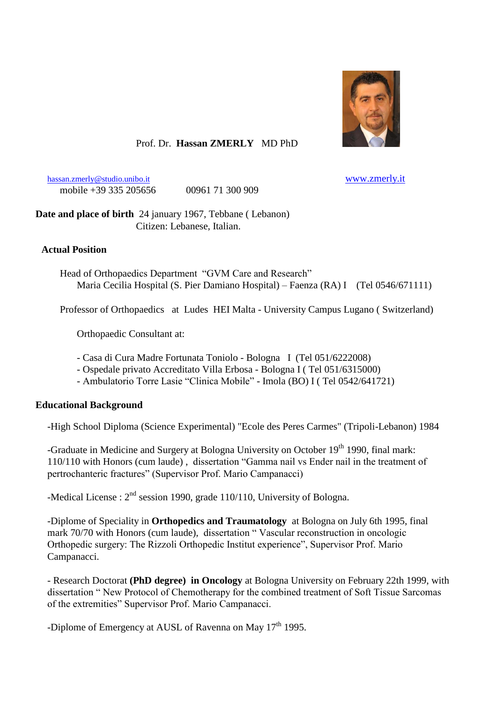

## Prof. Dr. **Hassan ZMERLY** MD PhD

[hassan.zmerly@studio.unibo.it](mailto:Hassan.zmerly@studio.unibo.it) [www.zmerly.it](http://www.zmerly.it/) mobile +39 335 205656 00961 71 300 909

**Date and place of birth** 24 january 1967, Tebbane ( Lebanon) Citizen: Lebanese, Italian.

### **Actual Position**

 Head of Orthopaedics Department "GVM Care and Research" Maria Cecilia Hospital (S. Pier Damiano Hospital) – Faenza (RA) I (Tel 0546/671111)

Professor of Orthopaedics at Ludes HEI Malta - University Campus Lugano ( Switzerland)

Orthopaedic Consultant at:

- Casa di Cura Madre Fortunata Toniolo Bologna I (Tel 051/6222008)
- Ospedale privato Accreditato Villa Erbosa Bologna I ( Tel 051/6315000)
- Ambulatorio Torre Lasie "Clinica Mobile" Imola (BO) I ( Tel 0542/641721)

#### **Educational Background**

-High School Diploma (Science Experimental) "Ecole des Peres Carmes" (Tripoli-Lebanon) 1984

-Graduate in Medicine and Surgery at Bologna University on October 19<sup>th</sup> 1990, final mark: 110/110 with Honors (cum laude) , dissertation "Gamma nail vs Ender nail in the treatment of pertrochanteric fractures" (Supervisor Prof. Mario Campanacci)

-Medical License :  $2<sup>nd</sup>$  session 1990, grade 110/110, University of Bologna.

-Diplome of Speciality in **Orthopedics and Traumatology** at Bologna on July 6th 1995, final mark 70/70 with Honors (cum laude), dissertation " Vascular reconstruction in oncologic Orthopedic surgery: The Rizzoli Orthopedic Institut experience", Supervisor Prof. Mario Campanacci.

- Research Doctorat **(PhD degree) in Oncology** at Bologna University on February 22th 1999, with dissertation " New Protocol of Chemotherapy for the combined treatment of Soft Tissue Sarcomas of the extremities" Supervisor Prof. Mario Campanacci.

-Diplome of Emergency at AUSL of Ravenna on May  $17<sup>th</sup>$  1995.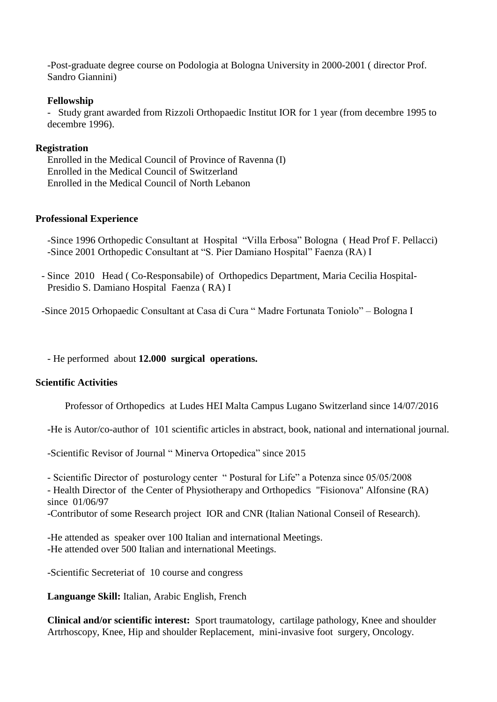-Post-graduate degree course on Podologia at Bologna University in 2000-2001 ( director Prof. Sandro Giannini)

#### **Fellowship**

- Study grant awarded from Rizzoli Orthopaedic Institut IOR for 1 year (from decembre 1995 to decembre 1996).

### **Registration**

Enrolled in the Medical Council of Province of Ravenna (I) Enrolled in the Medical Council of Switzerland Enrolled in the Medical Council of North Lebanon

### **Professional Experience**

-Since 1996 Orthopedic Consultant at Hospital "Villa Erbosa" Bologna ( Head Prof F. Pellacci) -Since 2001 Orthopedic Consultant at "S. Pier Damiano Hospital" Faenza (RA) I

- Since 2010 Head ( Co-Responsabile) of Orthopedics Department, Maria Cecilia Hospital-Presidio S. Damiano Hospital Faenza ( RA) I

-Since 2015 Orhopaedic Consultant at Casa di Cura " Madre Fortunata Toniolo" – Bologna I

- He performed about **12.000 surgical operations.**

## **Scientific Activities**

Professor of Orthopedics at Ludes HEI Malta Campus Lugano Switzerland since 14/07/2016

-He is Autor/co-author of 101 scientific articles in abstract, book, national and international journal.

-Scientific Revisor of Journal " Minerva Ortopedica" since 2015

- Scientific Director of posturology center " Postural for Life" a Potenza since 05/05/2008

- Health Director of the Center of Physiotherapy and Orthopedics "Fisionova" Alfonsine (RA) since 01/06/97

-Contributor of some Research project IOR and CNR (Italian National Conseil of Research).

-He attended as speaker over 100 Italian and international Meetings. -He attended over 500 Italian and international Meetings.

-Scientific Secreteriat of 10 course and congress

**Languange Skill:** Italian, Arabic English, French

**Clinical and/or scientific interest:** Sport traumatology, cartilage pathology, Knee and shoulder Artrhoscopy, Knee, Hip and shoulder Replacement, mini-invasive foot surgery, Oncology.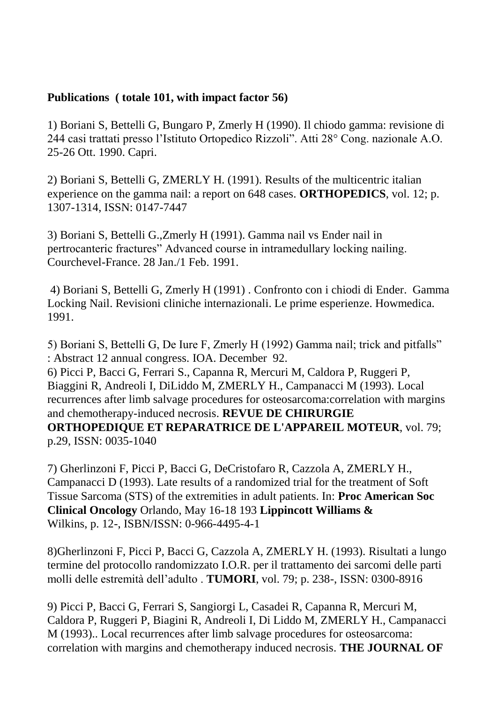# **Publications ( totale 101, with impact factor 56)**

1) Boriani S, Bettelli G, Bungaro P, Zmerly H (1990). Il chiodo gamma: revisione di 244 casi trattati presso l'Istituto Ortopedico Rizzoli". Atti 28° Cong. nazionale A.O. 25-26 Ott. 1990. Capri.

2) Boriani S, Bettelli G, ZMERLY H. (1991). Results of the multicentric italian experience on the gamma nail: a report on 648 cases. **ORTHOPEDICS**, vol. 12; p. 1307-1314, ISSN: 0147-7447

3) Boriani S, Bettelli G.,Zmerly H (1991). Gamma nail vs Ender nail in pertrocanteric fractures" Advanced course in intramedullary locking nailing. Courchevel-France. 28 Jan./1 Feb. 1991.

4) Boriani S, Bettelli G, Zmerly H (1991) . Confronto con i chiodi di Ender. Gamma Locking Nail. Revisioni cliniche internazionali. Le prime esperienze. Howmedica. 1991.

5) Boriani S, Bettelli G, De Iure F, Zmerly H (1992) Gamma nail; trick and pitfalls" : Abstract 12 annual congress. IOA. December 92. 6) Picci P, Bacci G, Ferrari S., Capanna R, Mercuri M, Caldora P, Ruggeri P, Biaggini R, Andreoli I, DiLiddo M, ZMERLY H., Campanacci M (1993). Local recurrences after limb salvage procedures for osteosarcoma:correlation with margins and chemotherapy-induced necrosis. **REVUE DE CHIRURGIE ORTHOPEDIQUE ET REPARATRICE DE L'APPAREIL MOTEUR**, vol. 79; p.29, ISSN: 0035-1040

7) Gherlinzoni F, Picci P, Bacci G, DeCristofaro R, Cazzola A, ZMERLY H., Campanacci D (1993). Late results of a randomized trial for the treatment of Soft Tissue Sarcoma (STS) of the extremities in adult patients. In: **Proc American Soc Clinical Oncology** Orlando, May 16-18 193 **Lippincott Williams &** Wilkins, p. 12-, ISBN/ISSN: 0-966-4495-4-1

8)Gherlinzoni F, Picci P, Bacci G, Cazzola A, ZMERLY H. (1993). Risultati a lungo termine del protocollo randomizzato I.O.R. per il trattamento dei sarcomi delle parti molli delle estremità dell'adulto . **TUMORI**, vol. 79; p. 238-, ISSN: 0300-8916

9) Picci P, Bacci G, Ferrari S, Sangiorgi L, Casadei R, Capanna R, Mercuri M, Caldora P, Ruggeri P, Biagini R, Andreoli I, Di Liddo M, ZMERLY H., Campanacci M (1993).. Local recurrences after limb salvage procedures for osteosarcoma: correlation with margins and chemotherapy induced necrosis. **THE JOURNAL OF**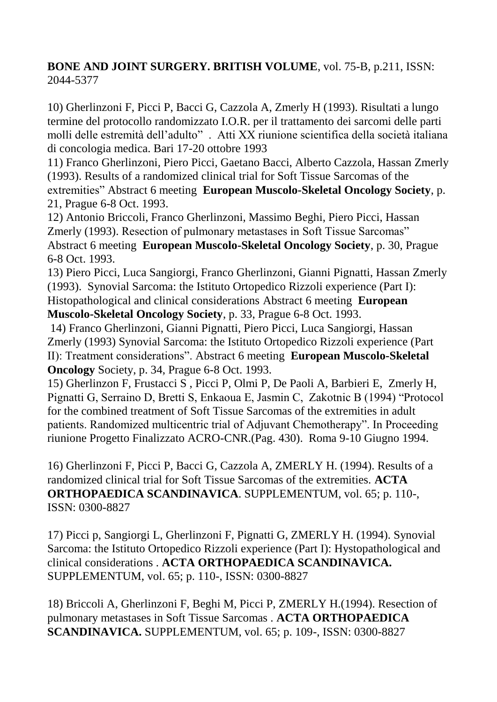# **BONE AND JOINT SURGERY. BRITISH VOLUME**, vol. 75-B, p.211, ISSN: 2044-5377

10) Gherlinzoni F, Picci P, Bacci G, Cazzola A, Zmerly H (1993). Risultati a lungo termine del protocollo randomizzato I.O.R. per il trattamento dei sarcomi delle parti molli delle estremità dell'adulto" . Atti XX riunione scientifica della società italiana di concologia medica. Bari 17-20 ottobre 1993

11) Franco Gherlinzoni, Piero Picci, Gaetano Bacci, Alberto Cazzola, Hassan Zmerly (1993). Results of a randomized clinical trial for Soft Tissue Sarcomas of the extremities" Abstract 6 meeting **European Muscolo-Skeletal Oncology Society**, p. 21, Prague 6-8 Oct. 1993.

12) Antonio Briccoli, Franco Gherlinzoni, Massimo Beghi, Piero Picci, Hassan Zmerly (1993). Resection of pulmonary metastases in Soft Tissue Sarcomas" Abstract 6 meeting **European Muscolo-Skeletal Oncology Society**, p. 30, Prague 6-8 Oct. 1993.

13) Piero Picci, Luca Sangiorgi, Franco Gherlinzoni, Gianni Pignatti, Hassan Zmerly (1993). Synovial Sarcoma: the Istituto Ortopedico Rizzoli experience (Part I): Histopathological and clinical considerations Abstract 6 meeting **European Muscolo-Skeletal Oncology Society**, p. 33, Prague 6-8 Oct. 1993.

14) Franco Gherlinzoni, Gianni Pignatti, Piero Picci, Luca Sangiorgi, Hassan Zmerly (1993) Synovial Sarcoma: the Istituto Ortopedico Rizzoli experience (Part II): Treatment considerations". Abstract 6 meeting **European Muscolo-Skeletal Oncology** Society, p. 34, Prague 6-8 Oct. 1993.

15) Gherlinzon F, Frustacci S , Picci P, Olmi P, De Paoli A, Barbieri E, Zmerly H, Pignatti G, Serraino D, Bretti S, Enkaoua E, Jasmin C, Zakotnic B (1994) "Protocol for the combined treatment of Soft Tissue Sarcomas of the extremities in adult patients. Randomized multicentric trial of Adjuvant Chemotherapy". In Proceeding riunione Progetto Finalizzato ACRO-CNR.(Pag. 430). Roma 9-10 Giugno 1994.

16) Gherlinzoni F, Picci P, Bacci G, Cazzola A, ZMERLY H. (1994). Results of a randomized clinical trial for Soft Tissue Sarcomas of the extremities. **ACTA ORTHOPAEDICA SCANDINAVICA**. SUPPLEMENTUM, vol. 65; p. 110-, ISSN: 0300-8827

17) Picci p, Sangiorgi L, Gherlinzoni F, Pignatti G, ZMERLY H. (1994). Synovial Sarcoma: the Istituto Ortopedico Rizzoli experience (Part I): Hystopathological and clinical considerations . **ACTA ORTHOPAEDICA SCANDINAVICA.** SUPPLEMENTUM, vol. 65; p. 110-, ISSN: 0300-8827

18) Briccoli A, Gherlinzoni F, Beghi M, Picci P, ZMERLY H.(1994). Resection of pulmonary metastases in Soft Tissue Sarcomas . **ACTA ORTHOPAEDICA SCANDINAVICA.** SUPPLEMENTUM, vol. 65; p. 109-, ISSN: 0300-8827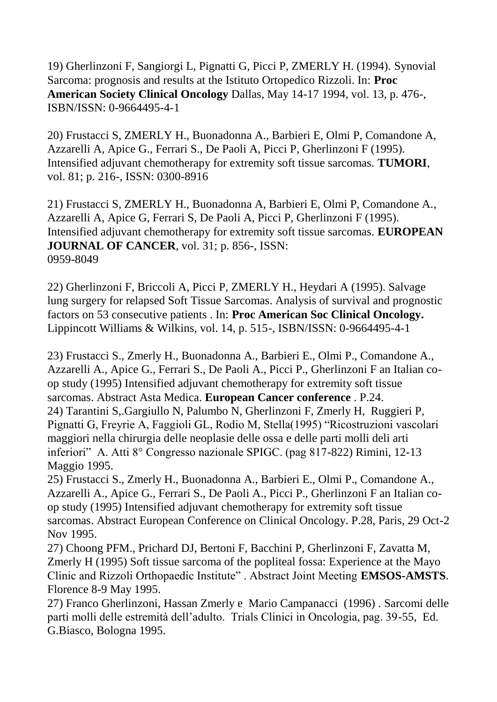19) Gherlinzoni F, Sangiorgi L, Pignatti G, Picci P, ZMERLY H. (1994). Synovial Sarcoma: prognosis and results at the Istituto Ortopedico Rizzoli. In: **Proc American Society Clinical Oncology** Dallas, May 14-17 1994, vol. 13, p. 476-, ISBN/ISSN: 0-9664495-4-1

20) Frustacci S, ZMERLY H., Buonadonna A., Barbieri E, Olmi P, Comandone A, Azzarelli A, Apice G., Ferrari S., De Paoli A, Picci P, Gherlinzoni F (1995). Intensified adjuvant chemotherapy for extremity soft tissue sarcomas. **TUMORI**, vol. 81; p. 216-, ISSN: 0300-8916

21) Frustacci S, ZMERLY H., Buonadonna A, Barbieri E, Olmi P, Comandone A., Azzarelli A, Apice G, Ferrari S, De Paoli A, Picci P, Gherlinzoni F (1995). Intensified adjuvant chemotherapy for extremity soft tissue sarcomas. **EUROPEAN JOURNAL OF CANCER**, vol. 31; p. 856-, ISSN: 0959-8049

22) Gherlinzoni F, Briccoli A, Picci P, ZMERLY H., Heydari A (1995). Salvage lung surgery for relapsed Soft Tissue Sarcomas. Analysis of survival and prognostic factors on 53 consecutive patients . In: **Proc American Soc Clinical Oncology.** Lippincott Williams & Wilkins, vol. 14, p. 515-, ISBN/ISSN: 0-9664495-4-1

23) Frustacci S., Zmerly H., Buonadonna A., Barbieri E., Olmi P., Comandone A., Azzarelli A., Apice G., Ferrari S., De Paoli A., Picci P., Gherlinzoni F an Italian coop study (1995) Intensified adjuvant chemotherapy for extremity soft tissue sarcomas. Abstract Asta Medica. **European Cancer conference** . P.24. 24) Tarantini S,.Gargiullo N, Palumbo N, Gherlinzoni F, Zmerly H, Ruggieri P, Pignatti G, Freyrie A, Faggioli GL, Rodio M, Stella(1995) "Ricostruzioni vascolari maggiori nella chirurgia delle neoplasie delle ossa e delle parti molli deli arti inferiori" A. Atti 8° Congresso nazionale SPIGC. (pag 817-822) Rimini, 12-13 Maggio 1995.

25) Frustacci S., Zmerly H., Buonadonna A., Barbieri E., Olmi P., Comandone A., Azzarelli A., Apice G., Ferrari S., De Paoli A., Picci P., Gherlinzoni F an Italian coop study (1995) Intensified adjuvant chemotherapy for extremity soft tissue sarcomas. Abstract European Conference on Clinical Oncology. P.28, Paris, 29 Oct-2 Nov 1995.

27) Choong PFM., Prichard DJ, Bertoni F, Bacchini P, Gherlinzoni F, Zavatta M, Zmerly H (1995) Soft tissue sarcoma of the popliteal fossa: Experience at the Mayo Clinic and Rizzoli Orthopaedic Institute" . Abstract Joint Meeting **EMSOS-AMSTS**. Florence 8-9 May 1995.

27) Franco Gherlinzoni, Hassan Zmerly e Mario Campanacci (1996) . Sarcomi delle parti molli delle estremità dell'adulto. Trials Clinici in Oncologia, pag. 39-55, Ed. G.Biasco, Bologna 1995.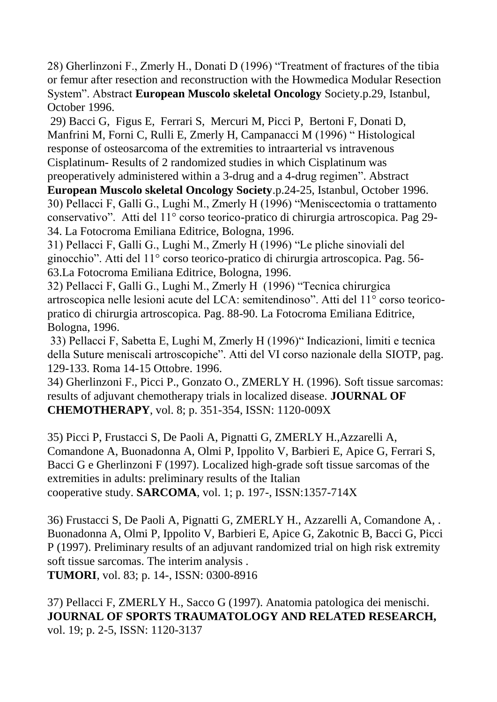28) Gherlinzoni F., Zmerly H., Donati D (1996) "Treatment of fractures of the tibia or femur after resection and reconstruction with the Howmedica Modular Resection System". Abstract **European Muscolo skeletal Oncology** Society.p.29, Istanbul, October 1996.

29) Bacci G, Figus E, Ferrari S, Mercuri M, Picci P, Bertoni F, Donati D, Manfrini M, Forni C, Rulli E, Zmerly H, Campanacci M (1996) " Histological response of osteosarcoma of the extremities to intraarterial vs intravenous Cisplatinum- Results of 2 randomized studies in which Cisplatinum was

preoperatively administered within a 3-drug and a 4-drug regimen". Abstract **European Muscolo skeletal Oncology Society**.p.24-25, Istanbul, October 1996. 30) Pellacci F, Galli G., Lughi M., Zmerly H (1996) "Meniscectomia o trattamento conservativo". Atti del 11° corso teorico-pratico di chirurgia artroscopica. Pag 29- 34. La Fotocroma Emiliana Editrice, Bologna, 1996.

31) Pellacci F, Galli G., Lughi M., Zmerly H (1996) "Le pliche sinoviali del ginocchio". Atti del 11° corso teorico-pratico di chirurgia artroscopica. Pag. 56- 63.La Fotocroma Emiliana Editrice, Bologna, 1996.

32) Pellacci F, Galli G., Lughi M., Zmerly H (1996) "Tecnica chirurgica artroscopica nelle lesioni acute del LCA: semitendinoso". Atti del 11° corso teoricopratico di chirurgia artroscopica. Pag. 88-90. La Fotocroma Emiliana Editrice, Bologna, 1996.

33) Pellacci F, Sabetta E, Lughi M, Zmerly H (1996)" Indicazioni, limiti e tecnica della Suture meniscali artroscopiche". Atti del VI corso nazionale della SIOTP, pag. 129-133. Roma 14-15 Ottobre. 1996.

34) Gherlinzoni F., Picci P., Gonzato O., ZMERLY H. (1996). Soft tissue sarcomas: results of adjuvant chemotherapy trials in localized disease. **JOURNAL OF CHEMOTHERAPY**, vol. 8; p. 351-354, ISSN: 1120-009X

35) Picci P, Frustacci S, De Paoli A, Pignatti G, ZMERLY H.,Azzarelli A, Comandone A, Buonadonna A, Olmi P, Ippolito V, Barbieri E, Apice G, Ferrari S, Bacci G e Gherlinzoni F (1997). Localized high-grade soft tissue sarcomas of the extremities in adults: preliminary results of the Italian cooperative study. **SARCOMA**, vol. 1; p. 197-, ISSN:1357-714X

36) Frustacci S, De Paoli A, Pignatti G, ZMERLY H., Azzarelli A, Comandone A, . Buonadonna A, Olmi P, Ippolito V, Barbieri E, Apice G, Zakotnic B, Bacci G, Picci P (1997). Preliminary results of an adjuvant randomized trial on high risk extremity soft tissue sarcomas. The interim analysis .

**TUMORI**, vol. 83; p. 14-, ISSN: 0300-8916

37) Pellacci F, ZMERLY H., Sacco G (1997). Anatomia patologica dei menischi. **JOURNAL OF SPORTS TRAUMATOLOGY AND RELATED RESEARCH,** vol. 19; p. 2-5, ISSN: 1120-3137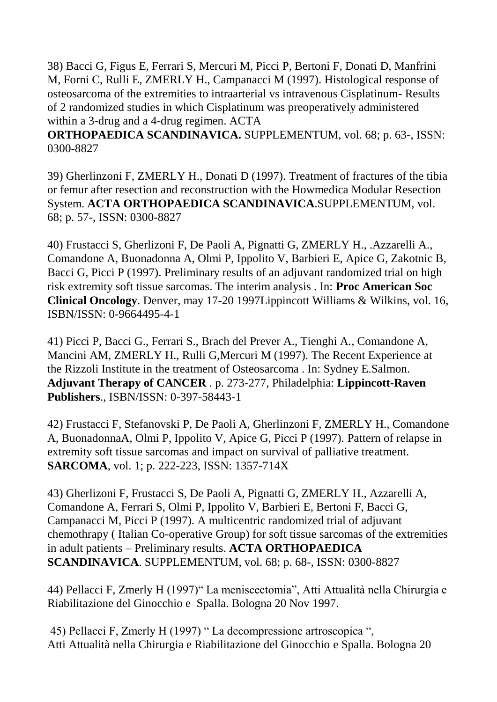38) Bacci G, Figus E, Ferrari S, Mercuri M, Picci P, Bertoni F, Donati D, Manfrini M, Forni C, Rulli E, ZMERLY H., Campanacci M (1997). Histological response of osteosarcoma of the extremities to intraarterial vs intravenous Cisplatinum- Results of 2 randomized studies in which Cisplatinum was preoperatively administered within a 3-drug and a 4-drug regimen. ACTA

**ORTHOPAEDICA SCANDINAVICA.** SUPPLEMENTUM, vol. 68; p. 63-, ISSN: 0300-8827

39) Gherlinzoni F, ZMERLY H., Donati D (1997). Treatment of fractures of the tibia or femur after resection and reconstruction with the Howmedica Modular Resection System. **ACTA ORTHOPAEDICA SCANDINAVICA**.SUPPLEMENTUM, vol. 68; p. 57-, ISSN: 0300-8827

40) Frustacci S, Gherlizoni F, De Paoli A, Pignatti G, ZMERLY H., .Azzarelli A., Comandone A, Buonadonna A, Olmi P, Ippolito V, Barbieri E, Apice G, Zakotnic B, Bacci G, Picci P (1997). Preliminary results of an adjuvant randomized trial on high risk extremity soft tissue sarcomas. The interim analysis . In: **Proc American Soc Clinical Oncology**. Denver, may 17-20 1997Lippincott Williams & Wilkins, vol. 16, ISBN/ISSN: 0-9664495-4-1

41) Picci P, Bacci G., Ferrari S., Brach del Prever A., Tienghi A., Comandone A, Mancini AM, ZMERLY H., Rulli G,Mercuri M (1997). The Recent Experience at the Rizzoli Institute in the treatment of Osteosarcoma . In: Sydney E.Salmon. **Adjuvant Therapy of CANCER** . p. 273-277, Philadelphia: **Lippincott-Raven Publishers**., ISBN/ISSN: 0-397-58443-1

42) Frustacci F, Stefanovski P, De Paoli A, Gherlinzoni F, ZMERLY H., Comandone A, BuonadonnaA, Olmi P, Ippolito V, Apice G, Picci P (1997). Pattern of relapse in extremity soft tissue sarcomas and impact on survival of palliative treatment. **SARCOMA**, vol. 1; p. 222-223, ISSN: 1357-714X

43) Gherlizoni F, Frustacci S, De Paoli A, Pignatti G, ZMERLY H., Azzarelli A, Comandone A, Ferrari S, Olmi P, Ippolito V, Barbieri E, Bertoni F, Bacci G, Campanacci M, Picci P (1997). A multicentric randomized trial of adjuvant chemothrapy ( Italian Co-operative Group) for soft tissue sarcomas of the extremities in adult patients – Preliminary results. **ACTA ORTHOPAEDICA SCANDINAVICA**. SUPPLEMENTUM, vol. 68; p. 68-, ISSN: 0300-8827

44) Pellacci F, Zmerly H (1997)" La meniscectomia", Atti Attualità nella Chirurgia e Riabilitazione del Ginocchio e Spalla. Bologna 20 Nov 1997.

45) Pellacci F, Zmerly H (1997) " La decompressione artroscopica ", Atti Attualità nella Chirurgia e Riabilitazione del Ginocchio e Spalla. Bologna 20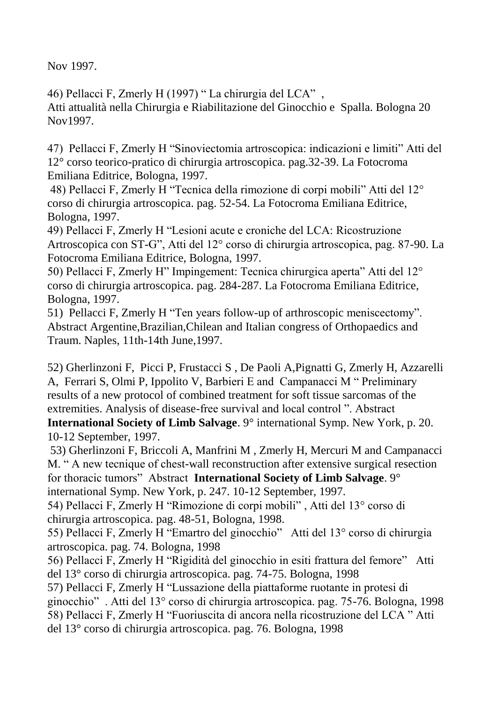Nov 1997.

46) Pellacci F, Zmerly H (1997) " La chirurgia del LCA" , Atti attualità nella Chirurgia e Riabilitazione del Ginocchio e Spalla. Bologna 20 Nov1997.

47) Pellacci F, Zmerly H "Sinoviectomia artroscopica: indicazioni e limiti" Atti del 12° corso teorico-pratico di chirurgia artroscopica. pag.32-39. La Fotocroma Emiliana Editrice, Bologna, 1997.

48) Pellacci F, Zmerly H "Tecnica della rimozione di corpi mobili" Atti del 12° corso di chirurgia artroscopica. pag. 52-54. La Fotocroma Emiliana Editrice, Bologna, 1997.

49) Pellacci F, Zmerly H "Lesioni acute e croniche del LCA: Ricostruzione Artroscopica con ST-G", Atti del 12° corso di chirurgia artroscopica, pag. 87-90. La Fotocroma Emiliana Editrice, Bologna, 1997.

50) Pellacci F, Zmerly H" Impingement: Tecnica chirurgica aperta" Atti del 12° corso di chirurgia artroscopica. pag. 284-287. La Fotocroma Emiliana Editrice, Bologna, 1997.

51) Pellacci F, Zmerly H "Ten years follow-up of arthroscopic meniscectomy". Abstract Argentine,Brazilian,Chilean and Italian congress of Orthopaedics and Traum. Naples, 11th-14th June,1997.

52) Gherlinzoni F, Picci P, Frustacci S , De Paoli A,Pignatti G, Zmerly H, Azzarelli A, Ferrari S, Olmi P, Ippolito V, Barbieri E and Campanacci M " Preliminary results of a new protocol of combined treatment for soft tissue sarcomas of the extremities. Analysis of disease-free survival and local control ". Abstract **International Society of Limb Salvage**. 9° international Symp. New York, p. 20.

10-12 September, 1997.

53) Gherlinzoni F, Briccoli A, Manfrini M , Zmerly H, Mercuri M and Campanacci M. " A new tecnique of chest-wall reconstruction after extensive surgical resection for thoracic tumors" Abstract **International Society of Limb Salvage**. 9°

international Symp. New York, p. 247. 10-12 September, 1997.

54) Pellacci F, Zmerly H "Rimozione di corpi mobili" , Atti del 13° corso di chirurgia artroscopica. pag. 48-51, Bologna, 1998.

55) Pellacci F, Zmerly H "Emartro del ginocchio" Atti del 13° corso di chirurgia artroscopica. pag. 74. Bologna, 1998

56) Pellacci F, Zmerly H "Rigidità del ginocchio in esiti frattura del femore" Atti del 13° corso di chirurgia artroscopica. pag. 74-75. Bologna, 1998

57) Pellacci F, Zmerly H "Lussazione della piattaforme ruotante in protesi di ginocchio" . Atti del 13° corso di chirurgia artroscopica. pag. 75-76. Bologna, 1998 58) Pellacci F, Zmerly H "Fuoriuscita di ancora nella ricostruzione del LCA " Atti del 13° corso di chirurgia artroscopica. pag. 76. Bologna, 1998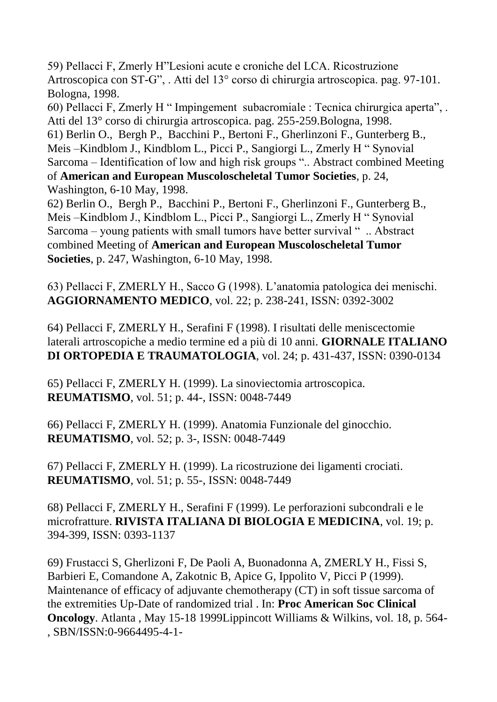59) Pellacci F, Zmerly H"Lesioni acute e croniche del LCA. Ricostruzione Artroscopica con ST-G", . Atti del 13° corso di chirurgia artroscopica. pag. 97-101. Bologna, 1998.

60) Pellacci F, Zmerly H " Impingement subacromiale : Tecnica chirurgica aperta", . Atti del 13° corso di chirurgia artroscopica. pag. 255-259.Bologna, 1998. 61) Berlin O., Bergh P., Bacchini P., Bertoni F., Gherlinzoni F., Gunterberg B., Meis –Kindblom J., Kindblom L., Picci P., Sangiorgi L., Zmerly H " Synovial Sarcoma – Identification of low and high risk groups ".. Abstract combined Meeting of **American and European Muscoloscheletal Tumor Societies**, p. 24, Washington, 6-10 May, 1998.

62) Berlin O., Bergh P., Bacchini P., Bertoni F., Gherlinzoni F., Gunterberg B., Meis –Kindblom J., Kindblom L., Picci P., Sangiorgi L., Zmerly H " Synovial Sarcoma – young patients with small tumors have better survival " .. Abstract combined Meeting of **American and European Muscoloscheletal Tumor Societies**, p. 247, Washington, 6-10 May, 1998.

63) Pellacci F, ZMERLY H., Sacco G (1998). L'anatomia patologica dei menischi. **AGGIORNAMENTO MEDICO**, vol. 22; p. 238-241, ISSN: 0392-3002

64) Pellacci F, ZMERLY H., Serafini F (1998). I risultati delle meniscectomie laterali artroscopiche a medio termine ed a più di 10 anni. **GIORNALE ITALIANO DI ORTOPEDIA E TRAUMATOLOGIA**, vol. 24; p. 431-437, ISSN: 0390-0134

65) Pellacci F, ZMERLY H. (1999). La sinoviectomia artroscopica. **REUMATISMO**, vol. 51; p. 44-, ISSN: 0048-7449

66) Pellacci F, ZMERLY H. (1999). Anatomia Funzionale del ginocchio. **REUMATISMO**, vol. 52; p. 3-, ISSN: 0048-7449

67) Pellacci F, ZMERLY H. (1999). La ricostruzione dei ligamenti crociati. **REUMATISMO**, vol. 51; p. 55-, ISSN: 0048-7449

68) Pellacci F, ZMERLY H., Serafini F (1999). Le perforazioni subcondrali e le microfratture. **RIVISTA ITALIANA DI BIOLOGIA E MEDICINA**, vol. 19; p. 394-399, ISSN: 0393-1137

69) Frustacci S, Gherlizoni F, De Paoli A, Buonadonna A, ZMERLY H., Fissi S, Barbieri E, Comandone A, Zakotnic B, Apice G, Ippolito V, Picci P (1999). Maintenance of efficacy of adjuvante chemotherapy (CT) in soft tissue sarcoma of the extremities Up-Date of randomized trial . In: **Proc American Soc Clinical Oncology**. Atlanta , May 15-18 1999Lippincott Williams & Wilkins, vol. 18, p. 564- , SBN/ISSN:0-9664495-4-1-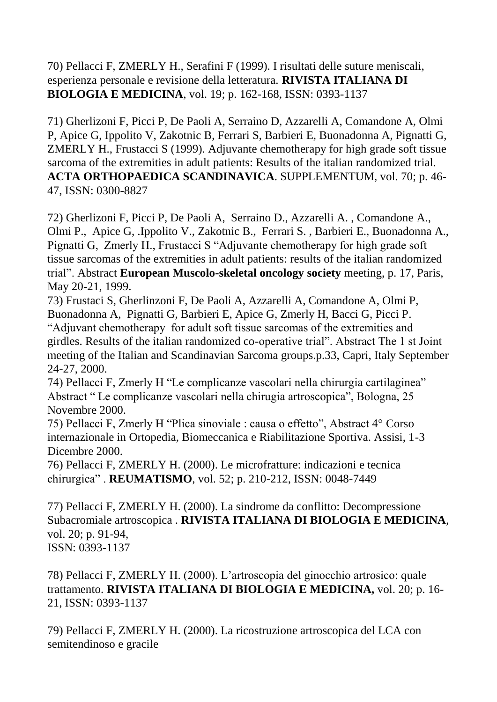70) Pellacci F, ZMERLY H., Serafini F (1999). I risultati delle suture meniscali, esperienza personale e revisione della letteratura. **RIVISTA ITALIANA DI BIOLOGIA E MEDICINA**, vol. 19; p. 162-168, ISSN: 0393-1137

71) Gherlizoni F, Picci P, De Paoli A, Serraino D, Azzarelli A, Comandone A, Olmi P, Apice G, Ippolito V, Zakotnic B, Ferrari S, Barbieri E, Buonadonna A, Pignatti G, ZMERLY H., Frustacci S (1999). Adjuvante chemotherapy for high grade soft tissue sarcoma of the extremities in adult patients: Results of the italian randomized trial. **ACTA ORTHOPAEDICA SCANDINAVICA**. SUPPLEMENTUM, vol. 70; p. 46- 47, ISSN: 0300-8827

72) Gherlizoni F, Picci P, De Paoli A, Serraino D., Azzarelli A. , Comandone A., Olmi P., Apice G, .Ippolito V., Zakotnic B., Ferrari S. , Barbieri E., Buonadonna A., Pignatti G, Zmerly H., Frustacci S "Adjuvante chemotherapy for high grade soft tissue sarcomas of the extremities in adult patients: results of the italian randomized trial". Abstract **European Muscolo-skeletal oncology society** meeting, p. 17, Paris, May 20-21, 1999.

73) Frustaci S, Gherlinzoni F, De Paoli A, Azzarelli A, Comandone A, Olmi P, Buonadonna A, Pignatti G, Barbieri E, Apice G, Zmerly H, Bacci G, Picci P. "Adjuvant chemotherapy for adult soft tissue sarcomas of the extremities and girdles. Results of the italian randomized co-operative trial". Abstract The 1 st Joint meeting of the Italian and Scandinavian Sarcoma groups.p.33, Capri, Italy September 24-27, 2000.

74) Pellacci F, Zmerly H "Le complicanze vascolari nella chirurgia cartilaginea" Abstract " Le complicanze vascolari nella chirugia artroscopica", Bologna, 25 Novembre 2000.

75) Pellacci F, Zmerly H "Plica sinoviale : causa o effetto", Abstract 4° Corso internazionale in Ortopedia, Biomeccanica e Riabilitazione Sportiva. Assisi, 1-3 Dicembre 2000.

76) Pellacci F, ZMERLY H. (2000). Le microfratture: indicazioni e tecnica chirurgica" . **REUMATISMO**, vol. 52; p. 210-212, ISSN: 0048-7449

77) Pellacci F, ZMERLY H. (2000). La sindrome da conflitto: Decompressione Subacromiale artroscopica . **RIVISTA ITALIANA DI BIOLOGIA E MEDICINA**, vol. 20; p. 91-94, ISSN: 0393-1137

78) Pellacci F, ZMERLY H. (2000). L'artroscopia del ginocchio artrosico: quale trattamento. **RIVISTA ITALIANA DI BIOLOGIA E MEDICINA,** vol. 20; p. 16- 21, ISSN: 0393-1137

79) Pellacci F, ZMERLY H. (2000). La ricostruzione artroscopica del LCA con semitendinoso e gracile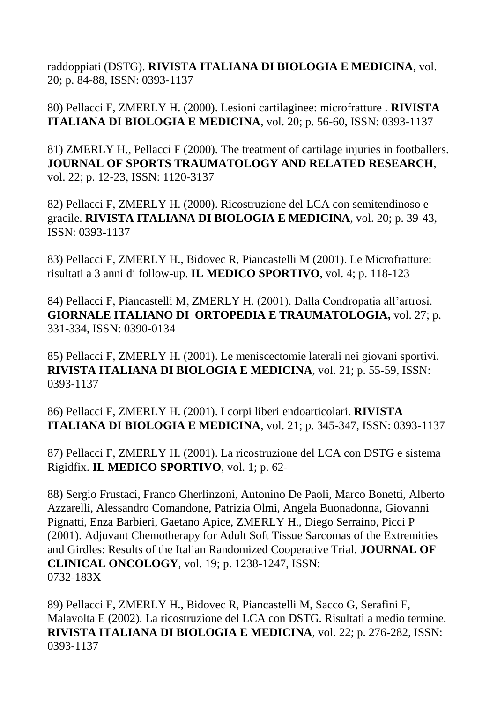raddoppiati (DSTG). **RIVISTA ITALIANA DI BIOLOGIA E MEDICINA**, vol. 20; p. 84-88, ISSN: 0393-1137

80) Pellacci F, ZMERLY H. (2000). Lesioni cartilaginee: microfratture . **RIVISTA ITALIANA DI BIOLOGIA E MEDICINA**, vol. 20; p. 56-60, ISSN: 0393-1137

81) ZMERLY H., Pellacci F (2000). The treatment of cartilage injuries in footballers. **JOURNAL OF SPORTS TRAUMATOLOGY AND RELATED RESEARCH**, vol. 22; p. 12-23, ISSN: 1120-3137

82) Pellacci F, ZMERLY H. (2000). Ricostruzione del LCA con semitendinoso e gracile. **RIVISTA ITALIANA DI BIOLOGIA E MEDICINA**, vol. 20; p. 39-43, ISSN: 0393-1137

83) Pellacci F, ZMERLY H., Bidovec R, Piancastelli M (2001). Le Microfratture: risultati a 3 anni di follow-up. **IL MEDICO SPORTIVO**, vol. 4; p. 118-123

84) Pellacci F, Piancastelli M, ZMERLY H. (2001). Dalla Condropatia all'artrosi. **GIORNALE ITALIANO DI ORTOPEDIA E TRAUMATOLOGIA,** vol. 27; p. 331-334, ISSN: 0390-0134

85) Pellacci F, ZMERLY H. (2001). Le meniscectomie laterali nei giovani sportivi. **RIVISTA ITALIANA DI BIOLOGIA E MEDICINA**, vol. 21; p. 55-59, ISSN: 0393-1137

86) Pellacci F, ZMERLY H. (2001). I corpi liberi endoarticolari. **RIVISTA ITALIANA DI BIOLOGIA E MEDICINA**, vol. 21; p. 345-347, ISSN: 0393-1137

87) Pellacci F, ZMERLY H. (2001). La ricostruzione del LCA con DSTG e sistema Rigidfix. **IL MEDICO SPORTIVO**, vol. 1; p. 62-

88) Sergio Frustaci, Franco Gherlinzoni, Antonino De Paoli, Marco Bonetti, Alberto Azzarelli, Alessandro Comandone, Patrizia Olmi, Angela Buonadonna, Giovanni Pignatti, Enza Barbieri, Gaetano Apice, ZMERLY H., Diego Serraino, Picci P (2001). Adjuvant Chemotherapy for Adult Soft Tissue Sarcomas of the Extremities and Girdles: Results of the Italian Randomized Cooperative Trial. **JOURNAL OF CLINICAL ONCOLOGY**, vol. 19; p. 1238-1247, ISSN: 0732-183X

89) Pellacci F, ZMERLY H., Bidovec R, Piancastelli M, Sacco G, Serafini F, Malavolta E (2002). La ricostruzione del LCA con DSTG. Risultati a medio termine. **RIVISTA ITALIANA DI BIOLOGIA E MEDICINA**, vol. 22; p. 276-282, ISSN: 0393-1137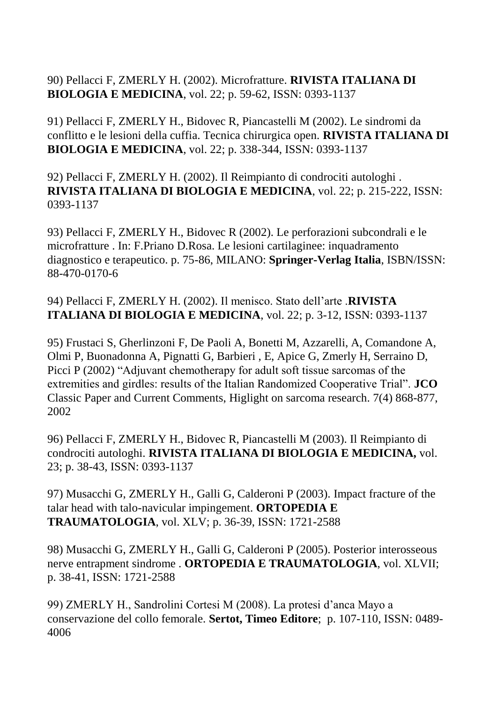90) Pellacci F, ZMERLY H. (2002). Microfratture. **RIVISTA ITALIANA DI BIOLOGIA E MEDICINA**, vol. 22; p. 59-62, ISSN: 0393-1137

91) Pellacci F, ZMERLY H., Bidovec R, Piancastelli M (2002). Le sindromi da conflitto e le lesioni della cuffia. Tecnica chirurgica open. **RIVISTA ITALIANA DI BIOLOGIA E MEDICINA**, vol. 22; p. 338-344, ISSN: 0393-1137

92) Pellacci F, ZMERLY H. (2002). Il Reimpianto di condrociti autologhi . **RIVISTA ITALIANA DI BIOLOGIA E MEDICINA**, vol. 22; p. 215-222, ISSN: 0393-1137

93) Pellacci F, ZMERLY H., Bidovec R (2002). Le perforazioni subcondrali e le microfratture . In: F.Priano D.Rosa. Le lesioni cartilaginee: inquadramento diagnostico e terapeutico. p. 75-86, MILANO: **Springer-Verlag Italia**, ISBN/ISSN: 88-470-0170-6

94) Pellacci F, ZMERLY H. (2002). Il menisco. Stato dell'arte .**RIVISTA ITALIANA DI BIOLOGIA E MEDICINA**, vol. 22; p. 3-12, ISSN: 0393-1137

95) Frustaci S, Gherlinzoni F, De Paoli A, Bonetti M, Azzarelli, A, Comandone A, Olmi P, Buonadonna A, Pignatti G, Barbieri , E, Apice G, Zmerly H, Serraino D, Picci P (2002) "Adjuvant chemotherapy for adult soft tissue sarcomas of the extremities and girdles: results of the Italian Randomized Cooperative Trial". **JCO** Classic Paper and Current Comments, Higlight on sarcoma research. 7(4) 868-877, 2002

96) Pellacci F, ZMERLY H., Bidovec R, Piancastelli M (2003). Il Reimpianto di condrociti autologhi. **RIVISTA ITALIANA DI BIOLOGIA E MEDICINA,** vol. 23; p. 38-43, ISSN: 0393-1137

97) Musacchi G, ZMERLY H., Galli G, Calderoni P (2003). Impact fracture of the talar head with talo-navicular impingement. **ORTOPEDIA E TRAUMATOLOGIA**, vol. XLV; p. 36-39, ISSN: 1721-2588

98) Musacchi G, ZMERLY H., Galli G, Calderoni P (2005). Posterior interosseous nerve entrapment sindrome . **ORTOPEDIA E TRAUMATOLOGIA**, vol. XLVII; p. 38-41, ISSN: 1721-2588

99) ZMERLY H., Sandrolini Cortesi M (2008). La protesi d'anca Mayo a conservazione del collo femorale. **Sertot, Timeo Editore**; p. 107-110, ISSN: 0489- 4006